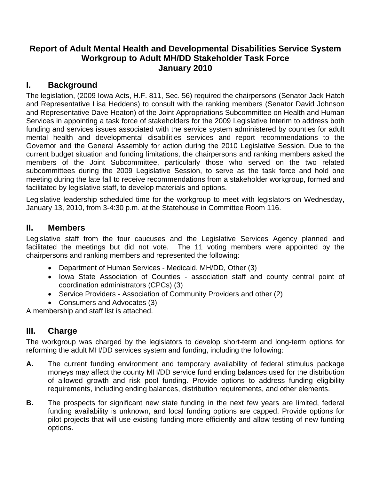# **Report of Adult Mental Health and Developmental Disabilities Service System Workgroup to Adult MH/DD Stakeholder Task Force January 2010**

# **I. Background**

The legislation, (2009 Iowa Acts, H.F. 811, Sec. 56) required the chairpersons (Senator Jack Hatch and Representative Lisa Heddens) to consult with the ranking members (Senator David Johnson and Representative Dave Heaton) of the Joint Appropriations Subcommittee on Health and Human Services in appointing a task force of stakeholders for the 2009 Legislative Interim to address both funding and services issues associated with the service system administered by counties for adult mental health and developmental disabilities services and report recommendations to the Governor and the General Assembly for action during the 2010 Legislative Session. Due to the current budget situation and funding limitations, the chairpersons and ranking members asked the members of the Joint Subcommittee, particularly those who served on the two related subcommittees during the 2009 Legislative Session, to serve as the task force and hold one meeting during the late fall to receive recommendations from a stakeholder workgroup, formed and facilitated by legislative staff, to develop materials and options.

Legislative leadership scheduled time for the workgroup to meet with legislators on Wednesday, January 13, 2010, from 3-4:30 p.m. at the Statehouse in Committee Room 116.

### **II. Members**

Legislative staff from the four caucuses and the Legislative Services Agency planned and facilitated the meetings but did not vote. The 11 voting members were appointed by the chairpersons and ranking members and represented the following:

- Department of Human Services Medicaid, MH/DD, Other (3)
- Iowa State Association of Counties association staff and county central point of coordination administrators (CPCs) (3)
- Service Providers Association of Community Providers and other (2)
- Consumers and Advocates (3)

A membership and staff list is attached.

# **III. Charge**

The workgroup was charged by the legislators to develop short-term and long-term options for reforming the adult MH/DD services system and funding, including the following:

- **A.** The current funding environment and temporary availability of federal stimulus package moneys may affect the county MH/DD service fund ending balances used for the distribution of allowed growth and risk pool funding. Provide options to address funding eligibility requirements, including ending balances, distribution requirements, and other elements.
- **B.** The prospects for significant new state funding in the next few years are limited, federal funding availability is unknown, and local funding options are capped. Provide options for pilot projects that will use existing funding more efficiently and allow testing of new funding options.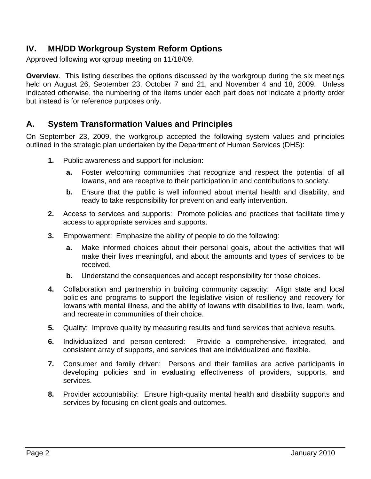# **IV. MH/DD Workgroup System Reform Options**

Approved following workgroup meeting on 11/18/09.

**Overview**. This listing describes the options discussed by the workgroup during the six meetings held on August 26, September 23, October 7 and 21, and November 4 and 18, 2009. Unless indicated otherwise, the numbering of the items under each part does not indicate a priority order but instead is for reference purposes only.

# **A. System Transformation Values and Principles**

On September 23, 2009, the workgroup accepted the following system values and principles outlined in the strategic plan undertaken by the Department of Human Services (DHS):

- **1.** Public awareness and support for inclusion:
	- **a.** Foster welcoming communities that recognize and respect the potential of all Iowans, and are receptive to their participation in and contributions to society.
	- **b.** Ensure that the public is well informed about mental health and disability, and ready to take responsibility for prevention and early intervention.
- **2.** Access to services and supports: Promote policies and practices that facilitate timely access to appropriate services and supports.
- **3.** Empowerment: Emphasize the ability of people to do the following:
	- **a.** Make informed choices about their personal goals, about the activities that will make their lives meaningful, and about the amounts and types of services to be received.
	- **b.** Understand the consequences and accept responsibility for those choices.
- **4.** Collaboration and partnership in building community capacity: Align state and local policies and programs to support the legislative vision of resiliency and recovery for Iowans with mental illness, and the ability of Iowans with disabilities to live, learn, work, and recreate in communities of their choice.
- **5.** Quality: Improve quality by measuring results and fund services that achieve results.
- **6.** Individualized and person-centered: Provide a comprehensive, integrated, and consistent array of supports, and services that are individualized and flexible.
- **7.** Consumer and family driven: Persons and their families are active participants in developing policies and in evaluating effectiveness of providers, supports, and services.
- **8.** Provider accountability: Ensure high-quality mental health and disability supports and services by focusing on client goals and outcomes.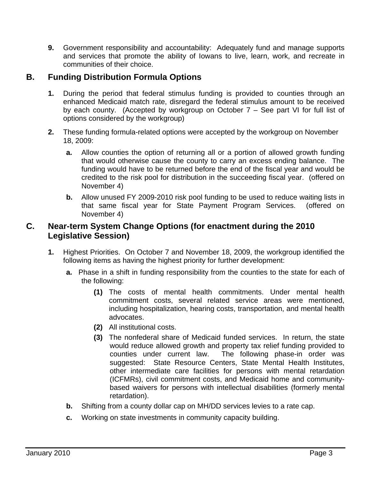**9.** Government responsibility and accountability: Adequately fund and manage supports and services that promote the ability of Iowans to live, learn, work, and recreate in communities of their choice.

# **B. Funding Distribution Formula Options**

- **1.** During the period that federal stimulus funding is provided to counties through an enhanced Medicaid match rate, disregard the federal stimulus amount to be received by each county. (Accepted by workgroup on October 7 – See part VI for full list of options considered by the workgroup)
- **2.** These funding formula-related options were accepted by the workgroup on November 18, 2009:
	- **a.** Allow counties the option of returning all or a portion of allowed growth funding that would otherwise cause the county to carry an excess ending balance. The funding would have to be returned before the end of the fiscal year and would be credited to the risk pool for distribution in the succeeding fiscal year. (offered on November 4)
	- **b.** Allow unused FY 2009-2010 risk pool funding to be used to reduce waiting lists in that same fiscal year for State Payment Program Services. (offered on November 4)

## **C. Near-term System Change Options (for enactment during the 2010 Legislative Session)**

- **1.** Highest Priorities. On October 7 and November 18, 2009, the workgroup identified the following items as having the highest priority for further development:
	- **a.** Phase in a shift in funding responsibility from the counties to the state for each of the following:
		- **(1)** The costs of mental health commitments. Under mental health commitment costs, several related service areas were mentioned, including hospitalization, hearing costs, transportation, and mental health advocates.
		- **(2)** All institutional costs.
		- **(3)** The nonfederal share of Medicaid funded services. In return, the state would reduce allowed growth and property tax relief funding provided to counties under current law. The following phase-in order was suggested: State Resource Centers, State Mental Health Institutes, other intermediate care facilities for persons with mental retardation (ICFMRs), civil commitment costs, and Medicaid home and communitybased waivers for persons with intellectual disabilities (formerly mental retardation).
	- **b.** Shifting from a county dollar cap on MH/DD services levies to a rate cap.
	- **c.** Working on state investments in community capacity building.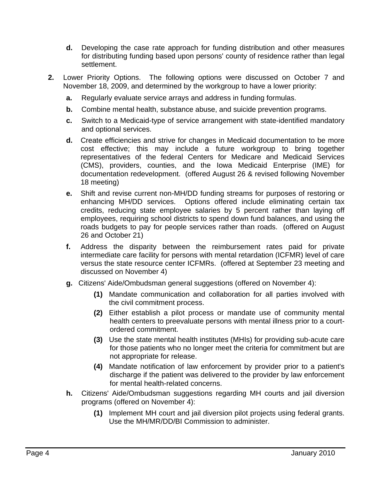- **d.** Developing the case rate approach for funding distribution and other measures for distributing funding based upon persons' county of residence rather than legal settlement.
- **2.** Lower Priority Options. The following options were discussed on October 7 and November 18, 2009, and determined by the workgroup to have a lower priority:
	- **a.** Regularly evaluate service arrays and address in funding formulas.
	- **b.** Combine mental health, substance abuse, and suicide prevention programs.
	- **c.** Switch to a Medicaid-type of service arrangement with state-identified mandatory and optional services.
	- **d.** Create efficiencies and strive for changes in Medicaid documentation to be more cost effective; this may include a future workgroup to bring together representatives of the federal Centers for Medicare and Medicaid Services (CMS), providers, counties, and the Iowa Medicaid Enterprise (IME) for documentation redevelopment. (offered August 26 & revised following November 18 meeting)
	- **e.** Shift and revise current non-MH/DD funding streams for purposes of restoring or enhancing MH/DD services. Options offered include eliminating certain tax credits, reducing state employee salaries by 5 percent rather than laying off employees, requiring school districts to spend down fund balances, and using the roads budgets to pay for people services rather than roads. (offered on August 26 and October 21)
	- **f.** Address the disparity between the reimbursement rates paid for private intermediate care facility for persons with mental retardation (ICFMR) level of care versus the state resource center ICFMRs. (offered at September 23 meeting and discussed on November 4)
	- **g.** Citizens' Aide/Ombudsman general suggestions (offered on November 4):
		- **(1)** Mandate communication and collaboration for all parties involved with the civil commitment process.
		- **(2)** Either establish a pilot process or mandate use of community mental health centers to preevaluate persons with mental illness prior to a courtordered commitment.
		- **(3)** Use the state mental health institutes (MHIs) for providing sub-acute care for those patients who no longer meet the criteria for commitment but are not appropriate for release.
		- **(4)** Mandate notification of law enforcement by provider prior to a patient's discharge if the patient was delivered to the provider by law enforcement for mental health-related concerns.
	- **h.** Citizens' Aide/Ombudsman suggestions regarding MH courts and jail diversion programs (offered on November 4):
		- **(1)** Implement MH court and jail diversion pilot projects using federal grants. Use the MH/MR/DD/BI Commission to administer.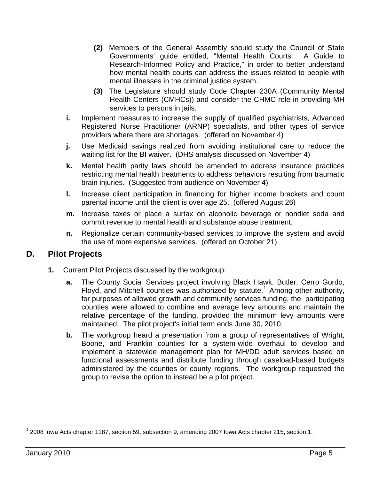- **(2)** Members of the General Assembly should study the Council of State Governments' guide entitled, "Mental Health Courts: A Guide to Research-Informed Policy and Practice," in order to better understand how mental health courts can address the issues related to people with mental illnesses in the criminal justice system.
- **(3)** The Legislature should study Code Chapter 230A (Community Mental Health Centers (CMHCs)) and consider the CHMC role in providing MH services to persons in jails.
- **i.** Implement measures to increase the supply of qualified psychiatrists, Advanced Registered Nurse Practitioner (ARNP) specialists, and other types of service providers where there are shortages. (offered on November 4)
- **j.** Use Medicaid savings realized from avoiding institutional care to reduce the waiting list for the BI waiver. (DHS analysis discussed on November 4)
- **k.** Mental health parity laws should be amended to address insurance practices restricting mental health treatments to address behaviors resulting from traumatic brain injuries. (Suggested from audience on November 4)
- **l.** Increase client participation in financing for higher income brackets and count parental income until the client is over age 25. (offered August 26)
- **m.** Increase taxes or place a surtax on alcoholic beverage or nondiet soda and commit revenue to mental health and substance abuse treatment.
- **n.** Regionalize certain community-based services to improve the system and avoid the use of more expensive services. (offered on October 21)

# **D. Pilot Projects**

- **1.** Current Pilot Projects discussed by the workgroup:
	- **a.** The County Social Services project involving Black Hawk, Butler, Cerro Gordo, Floyd, and Mitchell counties was authorized by statute.<sup>[1](#page-4-0)</sup> Among other authority, for purposes of allowed growth and community services funding, the participating counties were allowed to combine and average levy amounts and maintain the relative percentage of the funding, provided the minimum levy amounts were maintained. The pilot project's initial term ends June 30, 2010.
	- **b.** The workgroup heard a presentation from a group of representatives of Wright, Boone, and Franklin counties for a system-wide overhaul to develop and implement a statewide management plan for MH/DD adult services based on functional assessments and distribute funding through caseload-based budgets administered by the counties or county regions. The workgroup requested the group to revise the option to instead be a pilot project.

l

<span id="page-4-0"></span> $1$  2008 Iowa Acts chapter 1187, section 59, subsection 9, amending 2007 Iowa Acts chapter 215, section 1.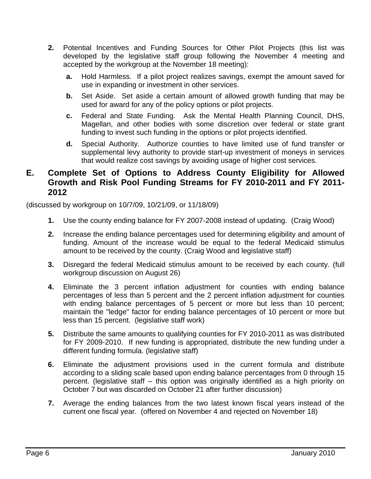- **2.** Potential Incentives and Funding Sources for Other Pilot Projects (this list was developed by the legislative staff group following the November 4 meeting and accepted by the workgroup at the November 18 meeting):
	- **a.** Hold Harmless. If a pilot project realizes savings, exempt the amount saved for use in expanding or investment in other services.
	- **b.** Set Aside. Set aside a certain amount of allowed growth funding that may be used for award for any of the policy options or pilot projects.
	- **c.** Federal and State Funding. Ask the Mental Health Planning Council, DHS, Magellan, and other bodies with some discretion over federal or state grant funding to invest such funding in the options or pilot projects identified.
	- **d.** Special Authority. Authorize counties to have limited use of fund transfer or supplemental levy authority to provide start-up investment of moneys in services that would realize cost savings by avoiding usage of higher cost services.

# **E. Complete Set of Options to Address County Eligibility for Allowed Growth and Risk Pool Funding Streams for FY 2010-2011 and FY 2011- 2012**

(discussed by workgroup on 10/7/09, 10/21/09, or 11/18/09)

- **1.** Use the county ending balance for FY 2007-2008 instead of updating. (Craig Wood)
- **2.** Increase the ending balance percentages used for determining eligibility and amount of funding. Amount of the increase would be equal to the federal Medicaid stimulus amount to be received by the county. (Craig Wood and legislative staff)
- **3.** Disregard the federal Medicaid stimulus amount to be received by each county. (full workgroup discussion on August 26)
- **4.** Eliminate the 3 percent inflation adjustment for counties with ending balance percentages of less than 5 percent and the 2 percent inflation adjustment for counties with ending balance percentages of 5 percent or more but less than 10 percent; maintain the "ledge" factor for ending balance percentages of 10 percent or more but less than 15 percent. (legislative staff work)
- **5.** Distribute the same amounts to qualifying counties for FY 2010-2011 as was distributed for FY 2009-2010. If new funding is appropriated, distribute the new funding under a different funding formula. (legislative staff)
- **6.** Eliminate the adjustment provisions used in the current formula and distribute according to a sliding scale based upon ending balance percentages from 0 through 15 percent. (legislative staff – this option was originally identified as a high priority on October 7 but was discarded on October 21 after further discussion)
- **7.** Average the ending balances from the two latest known fiscal years instead of the current one fiscal year. (offered on November 4 and rejected on November 18)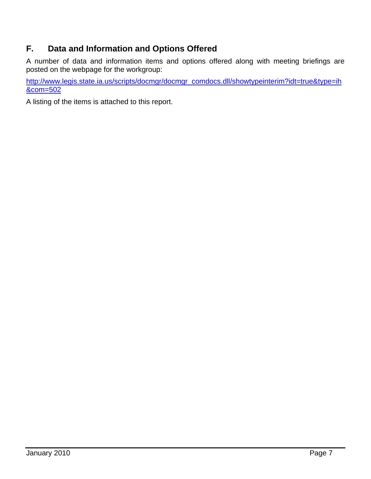# **F. Data and Information and Options Offered**

A number of data and information items and options offered along with meeting briefings are posted on the webpage for the workgroup:

[http://www.legis.state.ia.us/scripts/docmgr/docmgr\\_comdocs.dll/showtypeinterim?idt=true&type=ih](http://www.legis.state.ia.us/scripts/docmgr/docmgr_comdocs.dll/showtypeinterim?idt=true&type=ih&com=502) [&com=502](http://www.legis.state.ia.us/scripts/docmgr/docmgr_comdocs.dll/showtypeinterim?idt=true&type=ih&com=502)

A listing of the items is attached to this report.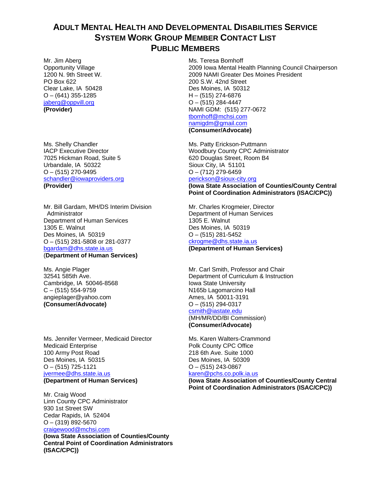## **ADULT MENTAL HEALTH AND DEVELOPMENTAL DISABILITIES SERVICE SYSTEM WORK GROUP MEMBER CONTACT LIST PUBLIC MEMBERS**

Mr. Jim Aberg Opportunity Village 1200 N. 9th Street W. PO Box 622 Clear Lake, IA 50428  $O - (641)$  355-1285 [jaberg@oppvill.org](mailto:jaberg@oppvill.org) **(Provider)**

Ms. Shelly Chandler IACP Executive Director 7025 Hickman Road, Suite 5 Urbandale, IA 50322  $O - (515)$  270-9495 [schandler@iowaproviders.org](mailto:schandler@iowaproviders.org) **(Provider)** 

Mr. Bill Gardam, MH/DS Interim Division **Administrator** Department of Human Services 1305 E. Walnut Des Moines, IA 50319 O – (515) 281-5808 or 281-0377 [bgardam@dhs.state.ia.us](mailto:bgardam@dhs.state.ia.us) (**Department of Human Services)** 

Ms. Angie Plager 32541 585th Ave. Cambridge, IA 50046-8568  $C - (515) 554 - 9759$ angieplager@yahoo.com **(Consumer/Advocate)** 

Ms. Jennifer Vermeer, Medicaid Director Medicaid Enterprise 100 Army Post Road Des Moines, IA 50315  $O - (515)$  725-1121 [jvermee@dhs.state.ia.us](mailto:jvermee@dhs.state.ia.us) **(Department of Human Services)** 

Mr. Craig Wood Linn County CPC Administrator 930 1st Street SW Cedar Rapids, IA 52404 O – (319) 892-5670 [craigewood@mchsi.com](mailto:craigewood@mchsi.com)

**(Iowa State Association of Counties/County Central Point of Coordination Administrators (ISAC/CPC))**

Ms. Teresa Bomhoff 2009 Iowa Mental Health Planning Council Chairperson 2009 NAMI Greater Des Moines President 200 S.W. 42nd Street Des Moines, IA 50312 H – (515) 274-6876  $O - (515)$  284-4447 NAMI GDM: (515) 277-0672 [tbomhoff@mchsi.com](mailto:tbomhoff@mchsi.com) [namigdm@gmail.com](mailto:namigdm@gmail.com) **(Consumer/Advocate)** 

Ms. Patty Erickson-Puttmann Woodbury County CPC Administrator 620 Douglas Street, Room B4 Sioux City, IA 51101  $O - (712)$  279-6459 [perickson@sioux-city.org](mailto:perickson@sioux-city.org)

**(Iowa State Association of Counties/County Central Point of Coordination Administrators (ISAC/CPC))** 

Mr. Charles Krogmeier, Director Department of Human Services 1305 E. Walnut Des Moines, IA 50319  $O - (515)$  281-5452 [ckrogme@dhs.state.ia.us](mailto:ckrogme@dhs.state.ia.us) **(Department of Human Services)** 

Mr. Carl Smith, Professor and Chair Department of Curriculum & Instruction Iowa State University N165b Lagomarcino Hall Ames, IA 50011-3191  $O - (515)$  294-0317 [csmith@iastate.edu](mailto:csmith@iastate.edu)

(MH/MR/DD/BI Commission) **(Consumer/Advocate)** 

Ms. Karen Walters-Crammond Polk County CPC Office 218 6th Ave. Suite 1000 Des Moines, IA 50309  $O - (515)$  243-0867

#### [karen@pchs.co.polk.ia.us](mailto:karen@pchs.co.polk.ia.us)

**(Iowa State Association of Counties/County Central Point of Coordination Administrators (ISAC/CPC))**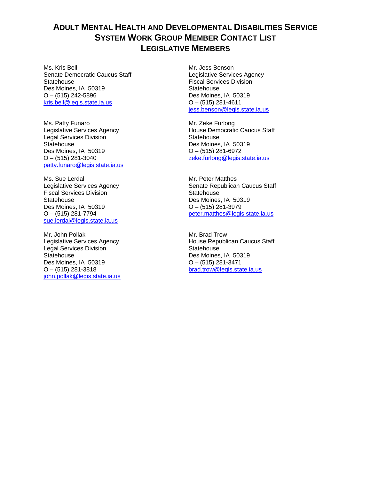# **ADULT MENTAL HEALTH AND DEVELOPMENTAL DISABILITIES SERVICE SYSTEM WORK GROUP MEMBER CONTACT LIST LEGISLATIVE MEMBERS**

Ms. Kris Bell Senate Democratic Caucus Staff **Statehouse** Des Moines, IA 50319  $O - (515)$  242-5896 [kris.bell@legis.state.ia.us](mailto:kris.bell@legis.state.ia.us)

Ms. Patty Funaro Legislative Services Agency Legal Services Division **Statehouse** Des Moines, IA 50319  $O - (515)$  281-3040 [patty.funaro@legis.state.ia.us](mailto:patty.funaro@legis.state.ia.us)

Ms. Sue Lerdal Legislative Services Agency Fiscal Services Division **Statehouse** Des Moines, IA 50319  $O - (515)$  281-7794 [sue.lerdal@legis.state.ia.us](mailto:sue.lerdal@legis.state.ia.us)

Mr. John Pollak Legislative Services Agency Legal Services Division **Statehouse** Des Moines, IA 50319 O – (515) 281-3818 [john.pollak@legis.state.ia.us](mailto:john.pollak@legis.state.ia.us)

Mr. Jess Benson Legislative Services Agency Fiscal Services Division **Statehouse** Des Moines, IA 50319  $O - (515)$  281-4611 [jess.benson@legis.state.ia.us](mailto:jess.benson@legis.state.ia.us)

Mr. Zeke Furlong House Democratic Caucus Staff **Statehouse** Des Moines, IA 50319  $O - (515)$  281-6972 [zeke.furlong@legis.state.ia.us](mailto:zeke.furlong@legis.state.ia.us)

Mr. Peter Matthes Senate Republican Caucus Staff **Statehouse** Des Moines, IA 50319 O – (515) 281-3979 [peter.matthes@legis.state.ia.us](mailto:peter.matthes@legis.state.ia.us)

Mr. Brad Trow House Republican Caucus Staff **Statehouse** Des Moines, IA 50319 O – (515) 281-3471 [brad.trow@legis.state.ia.us](mailto:brad.trow@legis.state.ia.us)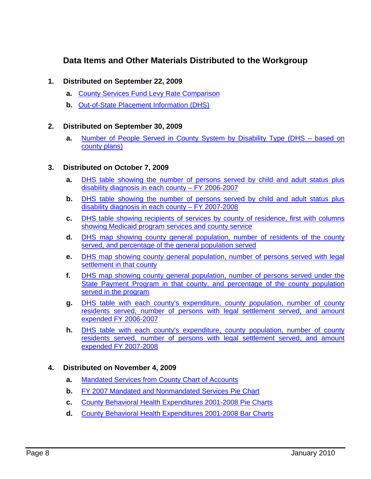# **Data Items and Other Materials Distributed to the Workgroup**

### **1. Distributed on September 22, 2009**

- **a.** [County Services Fund Levy Rate Comparison](http://www.legis.state.ia.us/lsadocs/IntComDoc/2010/IDJCP000.PDF)
- **b.** [Out-of-State Placement Information \(DHS\)](http://www.legis.state.ia.us/lsadocs/IntComDoc/2010/IDJCP001.PDF)

### **2. Distributed on September 30, 2009**

**a.** [Number of People Served in County System by Disability Type \(DHS – based on](http://www.legis.state.ia.us/lsadocs/IntComDoc/2010/IDJCP002.PDF)  [county plans\)](http://www.legis.state.ia.us/lsadocs/IntComDoc/2010/IDJCP002.PDF) 

### **3. Distributed on October 7, 2009**

- **a.** [DHS table showing the number of persons served by child and adult status plus](http://www.legis.state.ia.us/lsadocs/IntComDoc/2010/IDJCP003.PDF)  [disability diagnosis in each county – FY 2006-2007](http://www.legis.state.ia.us/lsadocs/IntComDoc/2010/IDJCP003.PDF)
- **b.** DHS table showing the number of persons served by child and adult status plus [disability diagnosis in each county – FY 2007-2008](http://www.legis.state.ia.us/lsadocs/IntComDoc/2010/IDJCP004.PDF)
- **c.** [DHS table showing recipients of services by county of residence, first with columns](http://www.legis.state.ia.us/lsadocs/IntComDoc/2010/IDJCP005.PDF)  [showing Medicaid program services and county service](http://www.legis.state.ia.us/lsadocs/IntComDoc/2010/IDJCP005.PDF)
- **d.** [DHS map showing county general population, number of residents of the county](http://www.legis.state.ia.us/lsadocs/IntComDoc/2010/IDJCP006.PDF)  [served, and percentage of the general population served](http://www.legis.state.ia.us/lsadocs/IntComDoc/2010/IDJCP006.PDF)
- **e.** [DHS map showing county general population, number of persons served with legal](http://www.legis.state.ia.us/lsadocs/IntComDoc/2010/IDJCP007.PDF)  [settlement in that county](http://www.legis.state.ia.us/lsadocs/IntComDoc/2010/IDJCP007.PDF)
- **f.** [DHS map showing county general population, number of persons served under the](http://www.legis.state.ia.us/lsadocs/IntComDoc/2010/IDJCP008.PDF)  [State Payment Program in that county, and percentage of th](http://www.legis.state.ia.us/lsadocs/IntComDoc/2010/IDJCP008.PDF)e county population served in the program
- **g.** [DHS table with each county's expenditure, county population, number of county](http://www.legis.state.ia.us/lsadocs/IntComDoc/2010/IDJCP009.PDF)  [residents served, number of persons with legal settlement served, and amount](http://www.legis.state.ia.us/lsadocs/IntComDoc/2010/IDJCP009.PDF)  [expended FY 2006-2007](http://www.legis.state.ia.us/lsadocs/IntComDoc/2010/IDJCP009.PDF)
- **h.** [DHS table with each county's expenditure, county population, number of county](http://www.legis.state.ia.us/lsadocs/IntComDoc/2010/IDJCP010.PDF)  [residents served, number of persons with legal settlement served, and amount](http://www.legis.state.ia.us/lsadocs/IntComDoc/2010/IDJCP010.PDF)  [expended FY 2007-2008](http://www.legis.state.ia.us/lsadocs/IntComDoc/2010/IDJCP010.PDF)

### **4. Distributed on November 4, 2009**

- **a.** [Mandated Services from County Chart of Accounts](http://www.legis.state.ia.us/lsadocs/IntComDoc/2010/IDJCP013.PDF)
- **b.** [FY 2007 Mandated and Nonmandated Services Pie Chart](http://www.legis.state.ia.us/lsadocs/IntComDoc/2010/IDJCP016.PDF)
- **c.** [County Behavioral Health Expenditures 2001-2008 Pie Charts](http://www.legis.state.ia.us/lsadocs/IntComDoc/2010/IDJCP014.PDF)
- **d.** [County Behavioral Health Expenditures 2001-2008 Bar Charts](http://www.legis.state.ia.us/lsadocs/IntComDoc/2010/IDJCP015.PDF)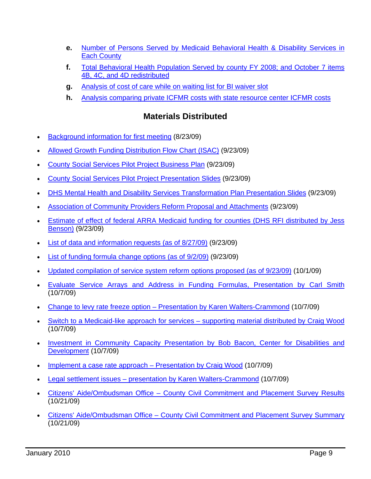- **e.** [Number of Persons Served by Medicaid Behavioral Health & Disability Services in](http://www.legis.state.ia.us/lsadocs/IntComDoc/2010/IDJCP017.PDF)  [Each County](http://www.legis.state.ia.us/lsadocs/IntComDoc/2010/IDJCP017.PDF)
- **f.** [Total Behavioral Health Population Served by county FY 2008; and October 7 items](http://www.legis.state.ia.us/lsadocs/IntComDoc/2010/IDJCP018.PDF)  [4B, 4C, and 4D redistributed](http://www.legis.state.ia.us/lsadocs/IntComDoc/2010/IDJCP018.PDF)
- **g.** [Analysis of cost of care while on waiting list for BI waiver slot](http://www.legis.state.ia.us/lsadocs/IntComDoc/2010/IDJCP011.PDF)
- **h.** [Analysis comparing private ICFMR costs with state resource center ICFMR costs](http://www.legis.state.ia.us/lsadocs/IntComDoc/2010/IDJCP012.PDF)

# **Materials Distributed**

- [Background information for first meeting](http://www.legis.state.ia.us/lsadocs/IntComHand/2010/IHJCP001.PDF) (8/23/09)
- [Allowed Growth Funding Distribution Flow Chart \(ISAC\)](http://www.legis.state.ia.us/lsadocs/IntComHand/2010/IHJCP005.PDF) (9/23/09)
- [County Social Services Pilot Project Business Plan](http://www.legis.state.ia.us/lsadocs/IntComHand/2010/IHJCP006.PDF) (9/23/09)
- [County Social Services Pilot Project Presentation Slides](http://www.legis.state.ia.us/lsadocs/IntComHand/2010/IHJCP007.PDF) (9/23/09)
- [DHS Mental Health and Disability Services Transformation Plan Presentation Slides](http://www.legis.state.ia.us/lsadocs/IntComHand/2010/IHJCP008.PDF) (9/23/09)
- [Association of Community Providers Reform Proposal and Attachments](http://www.legis.state.ia.us/lsadocs/IntComHand/2010/IHJCP009.PDF) (9/23/09)
- [Estimate of effect of federal ARRA Medicaid funding for counties \(DHS RFI distributed by Jess](http://www.legis.state.ia.us/lsadocs/IntComHand/2010/IHJCP010.PDF)  [Benson\)](http://www.legis.state.ia.us/lsadocs/IntComHand/2010/IHJCP010.PDF) (9/23/09)
- [List of data and information requests \(as of 8/27/09\)](http://www.legis.state.ia.us/lsadocs/IntComHand/2010/IHJCP002.PDF) (9/23/09)
- [List of funding formula change options \(as of 9/2/09\)](http://www.legis.state.ia.us/lsadocs/IntComHand/2010/IHJCP004.PDF) (9/23/09)
- [Updated compilation of service system reform options proposed \(as of 9/23/09\)](http://www.legis.state.ia.us/lsadocs/IntComHand/2010/IHJCP003.PDF) (10/1/09)
- [Evaluate Service Arrays and Address in Funding Formulas, Presentation by Carl Smith](http://www.legis.state.ia.us/lsadocs/IntComHand/2010/IHJCP024.PDF) (10/7/09)
- [Change to levy rate freeze option Presentation by Karen Walters-Crammond](http://www.legis.state.ia.us/lsadocs/IntComHand/2010/IHJCP012.PDF) (10/7/09)
- [Switch to a Medicaid-like approach for services supporting material distributed by Craig Wood](http://www.legis.state.ia.us/lsadocs/IntComHand/2010/IHJCP014.PDF) (10/7/09)
- [Investment in Community Capacity Presentation by Bob Bacon, Center for Disabilities and](http://www.legis.state.ia.us/lsadocs/IntComHand/2010/IHJCP011.PDF)  [Development](http://www.legis.state.ia.us/lsadocs/IntComHand/2010/IHJCP011.PDF) (10/7/09)
- [Implement a case rate approach Presentation by Craig Wood](http://www.legis.state.ia.us/lsadocs/IntComHand/2010/IHJCP015.PDF) (10/7/09)
- [Legal settlement issues presentation by Karen Walters-Crammond](http://www.legis.state.ia.us/lsadocs/IntComHand/2010/IHJCP013.PDF) (10/7/09)
- [Citizens' Aide/Ombudsman Office County Civil Commitment and Placement Survey Results](http://www.legis.state.ia.us/lsadocs/IntComHand/2010/IHJCP018.PDF) (10/21/09)
- [Citizens' Aide/Ombudsman Office County Civil Commitment and Placement Survey Summary](http://www.legis.state.ia.us/lsadocs/IntComHand/2010/IHJCP019.PDF) (10/21/09)